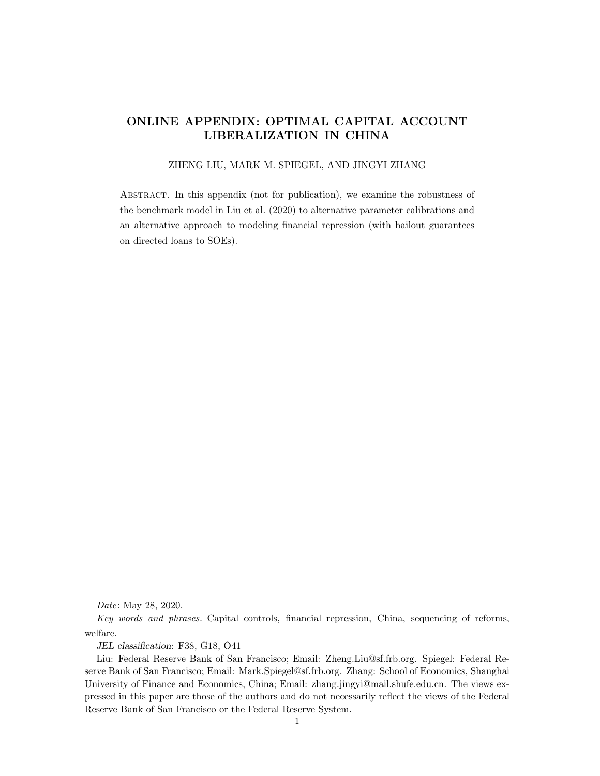# ONLINE APPENDIX: OPTIMAL CAPITAL ACCOUNT LIBERALIZATION IN CHINA

## ZHENG LIU, MARK M. SPIEGEL, AND JINGYI ZHANG

Abstract. In this appendix (not for publication), we examine the robustness of the benchmark model in [Liu et al.](#page-10-0) [\(2020\)](#page-10-0) to alternative parameter calibrations and an alternative approach to modeling financial repression (with bailout guarantees on directed loans to SOEs).

Date: May 28, 2020.

Key words and phrases. Capital controls, financial repression, China, sequencing of reforms, welfare.

JEL classification: F38, G18, O41

Liu: Federal Reserve Bank of San Francisco; Email: Zheng.Liu@sf.frb.org. Spiegel: Federal Reserve Bank of San Francisco; Email: Mark.Spiegel@sf.frb.org. Zhang: School of Economics, Shanghai University of Finance and Economics, China; Email: zhang.jingyi@mail.shufe.edu.cn. The views expressed in this paper are those of the authors and do not necessarily reflect the views of the Federal Reserve Bank of San Francisco or the Federal Reserve System.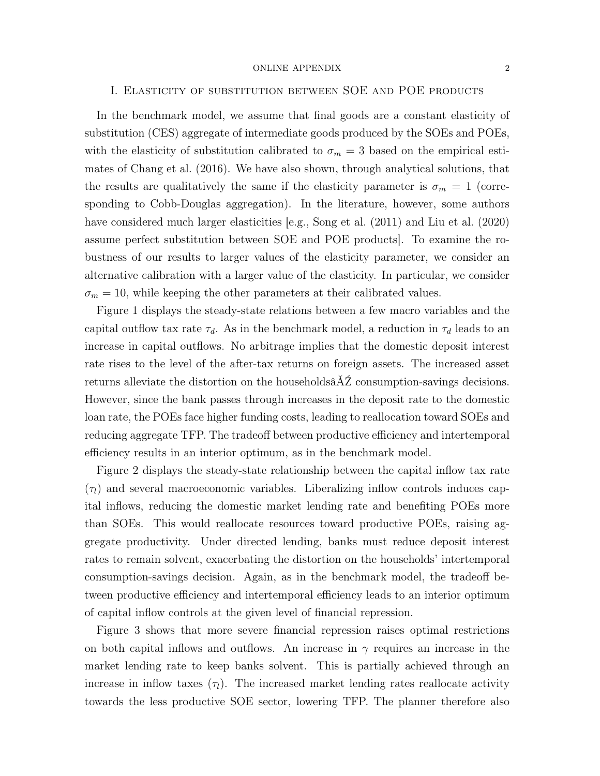# I. Elasticity of substitution between SOE and POE products

In the benchmark model, we assume that final goods are a constant elasticity of substitution (CES) aggregate of intermediate goods produced by the SOEs and POEs, with the elasticity of substitution calibrated to  $\sigma_m = 3$  based on the empirical estimates of [Chang et al.](#page-10-1) [\(2016\)](#page-10-1). We have also shown, through analytical solutions, that the results are qualitatively the same if the elasticity parameter is  $\sigma_m = 1$  (corresponding to Cobb-Douglas aggregation). In the literature, however, some authors have considered much larger elasticities [e.g., [Song et al.](#page-10-2) [\(2011\)](#page-10-2) and [Liu et al.](#page-10-3) [\(2020\)](#page-10-3) assume perfect substitution between SOE and POE products]. To examine the robustness of our results to larger values of the elasticity parameter, we consider an alternative calibration with a larger value of the elasticity. In particular, we consider  $\sigma_m = 10$ , while keeping the other parameters at their calibrated values.

Figure [1](#page-11-0) displays the steady-state relations between a few macro variables and the capital outflow tax rate  $\tau_d$ . As in the benchmark model, a reduction in  $\tau_d$  leads to an increase in capital outflows. No arbitrage implies that the domestic deposit interest rate rises to the level of the after-tax returns on foreign assets. The increased asset returns alleviate the distortion on the households $\hat{A}Z$  consumption-savings decisions. However, since the bank passes through increases in the deposit rate to the domestic loan rate, the POEs face higher funding costs, leading to reallocation toward SOEs and reducing aggregate TFP. The tradeoff between productive efficiency and intertemporal efficiency results in an interior optimum, as in the benchmark model.

Figure [2](#page-12-0) displays the steady-state relationship between the capital inflow tax rate  $(\tau_l)$  and several macroeconomic variables. Liberalizing inflow controls induces capital inflows, reducing the domestic market lending rate and benefiting POEs more than SOEs. This would reallocate resources toward productive POEs, raising aggregate productivity. Under directed lending, banks must reduce deposit interest rates to remain solvent, exacerbating the distortion on the households' intertemporal consumption-savings decision. Again, as in the benchmark model, the tradeoff between productive efficiency and intertemporal efficiency leads to an interior optimum of capital inflow controls at the given level of financial repression.

Figure [3](#page-13-0) shows that more severe financial repression raises optimal restrictions on both capital inflows and outflows. An increase in  $\gamma$  requires an increase in the market lending rate to keep banks solvent. This is partially achieved through an increase in inflow taxes  $(\tau_l)$ . The increased market lending rates reallocate activity towards the less productive SOE sector, lowering TFP. The planner therefore also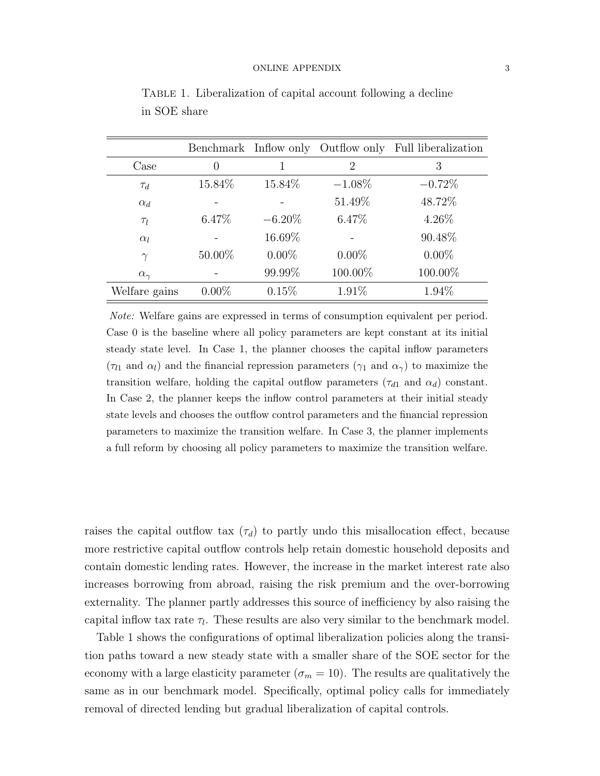|                   |                  |           |           | Benchmark Inflow only Outflow only Full liberalization |
|-------------------|------------------|-----------|-----------|--------------------------------------------------------|
| Case              | $\left( \right)$ |           | 2         | 3                                                      |
| $\tau_d$          | 15.84%           | 15.84\%   | $-1.08\%$ | $-0.72%$                                               |
| $\alpha_d$        |                  |           | 51.49%    | 48.72%                                                 |
| $\tau_l$          | $6.47\%$         | $-6.20\%$ | 6.47%     | 4.26%                                                  |
| $\alpha_l$        |                  | 16.69%    |           | 90.48\%                                                |
| $\gamma$          | 50.00%           | $0.00\%$  | $0.00\%$  | $0.00\%$                                               |
| $\alpha_{\gamma}$ |                  | 99.99%    | 100.00%   | 100.00%                                                |
| Welfare gains     | $0.00\%$         | 0.15%     | 1.91%     | 1.94%                                                  |

<span id="page-2-0"></span>TABLE 1. Liberalization of capital account following a decline in SOE share

Note: Welfare gains are expressed in terms of consumption equivalent per period. Case 0 is the baseline where all policy parameters are kept constant at its initial steady state level. In Case 1, the planner chooses the capital inflow parameters  $(\tau_{l1}$  and  $\alpha_{l})$  and the financial repression parameters  $(\gamma_{1}$  and  $\alpha_{\gamma})$  to maximize the transition welfare, holding the capital outflow parameters  $(\tau_{d1}$  and  $\alpha_d)$  constant. In Case 2, the planner keeps the inflow control parameters at their initial steady state levels and chooses the outflow control parameters and the financial repression parameters to maximize the transition welfare. In Case 3, the planner implements a full reform by choosing all policy parameters to maximize the transition welfare.

raises the capital outflow tax  $(\tau_d)$  to partly undo this misallocation effect, because more restrictive capital outflow controls help retain domestic household deposits and contain domestic lending rates. However, the increase in the market interest rate also increases borrowing from abroad, raising the risk premium and the over-borrowing externality. The planner partly addresses this source of inefficiency by also raising the capital inflow tax rate  $\tau_l$ . These results are also very similar to the benchmark model.

Table [1](#page-2-0) shows the configurations of optimal liberalization policies along the transition paths toward a new steady state with a smaller share of the SOE sector for the economy with a large elasticity parameter ( $\sigma_m = 10$ ). The results are qualitatively the same as in our benchmark model. Specifically, optimal policy calls for immediately removal of directed lending but gradual liberalization of capital controls.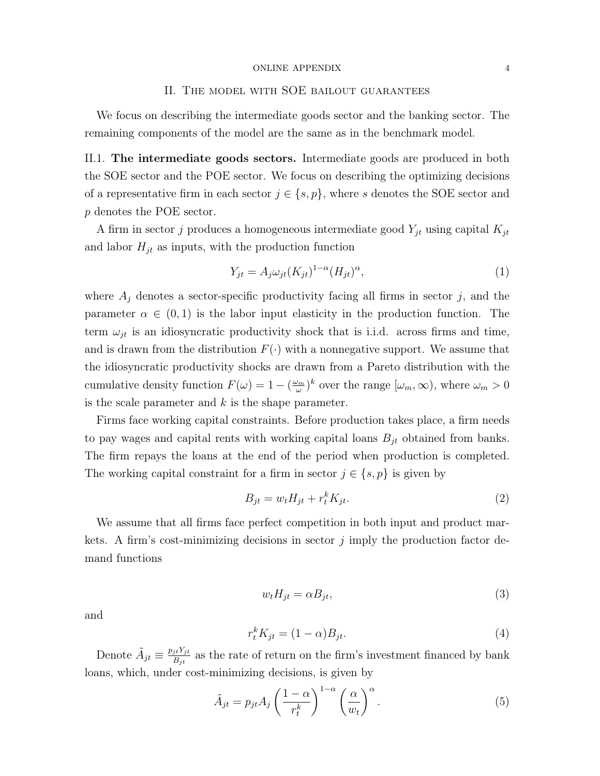# II. The model with SOE bailout guarantees

We focus on describing the intermediate goods sector and the banking sector. The remaining components of the model are the same as in the benchmark model.

II.1. The intermediate goods sectors. Intermediate goods are produced in both the SOE sector and the POE sector. We focus on describing the optimizing decisions of a representative firm in each sector  $j \in \{s, p\}$ , where s denotes the SOE sector and p denotes the POE sector.

A firm in sector j produces a homogeneous intermediate good  $Y_{jt}$  using capital  $K_{jt}$ and labor  $H_{jt}$  as inputs, with the production function

$$
Y_{jt} = A_j \omega_{jt} (K_{jt})^{1-\alpha} (H_{jt})^{\alpha},\tag{1}
$$

where  $A_j$  denotes a sector-specific productivity facing all firms in sector j, and the parameter  $\alpha \in (0,1)$  is the labor input elasticity in the production function. The term  $\omega_{jt}$  is an idiosyncratic productivity shock that is i.i.d. across firms and time, and is drawn from the distribution  $F(\cdot)$  with a nonnegative support. We assume that the idiosyncratic productivity shocks are drawn from a Pareto distribution with the cumulative density function  $F(\omega) = 1 - (\frac{\omega_m}{\omega})$  $(\omega_m)^k$  over the range  $[\omega_m, \infty)$ , where  $\omega_m > 0$ is the scale parameter and  $k$  is the shape parameter.

Firms face working capital constraints. Before production takes place, a firm needs to pay wages and capital rents with working capital loans  $B_{jt}$  obtained from banks. The firm repays the loans at the end of the period when production is completed. The working capital constraint for a firm in sector  $j \in \{s, p\}$  is given by

$$
B_{jt} = w_t H_{jt} + r_t^k K_{jt}.
$$
\n<sup>(2)</sup>

We assume that all firms face perfect competition in both input and product markets. A firm's cost-minimizing decisions in sector  $\dot{\eta}$  imply the production factor demand functions

$$
w_t H_{jt} = \alpha B_{jt},\tag{3}
$$

and

$$
r_t^k K_{jt} = (1 - \alpha) B_{jt}.\tag{4}
$$

Denote  $\tilde{A}_{jt} \equiv \frac{p_{jt} Y_{jt}}{B_{it}}$  $B_{jt}^{it Y_{jt}}$  as the rate of return on the firm's investment financed by bank loans, which, under cost-minimizing decisions, is given by

<span id="page-3-0"></span>
$$
\tilde{A}_{jt} = p_{jt} A_j \left(\frac{1-\alpha}{r_t^k}\right)^{1-\alpha} \left(\frac{\alpha}{w_t}\right)^{\alpha}.
$$
\n(5)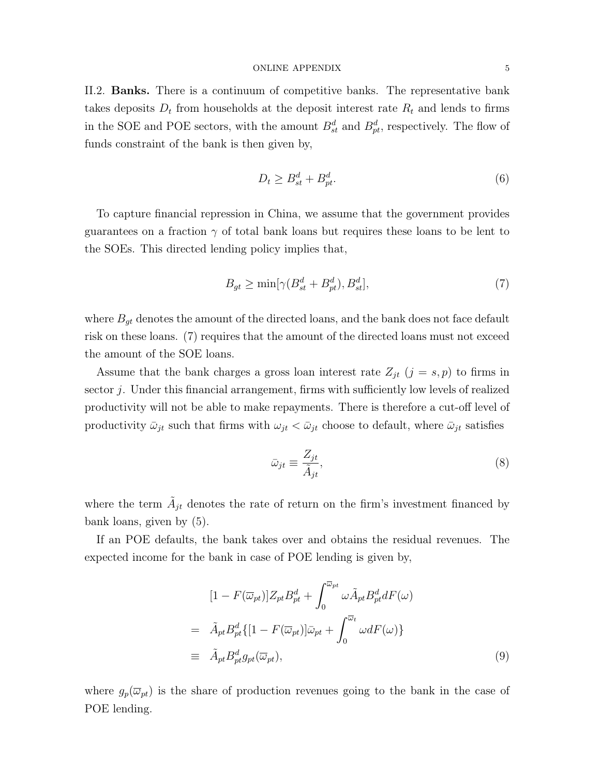II.2. Banks. There is a continuum of competitive banks. The representative bank takes deposits  $D_t$  from households at the deposit interest rate  $R_t$  and lends to firms in the SOE and POE sectors, with the amount  $B_{st}^d$  and  $B_{pt}^d$ , respectively. The flow of funds constraint of the bank is then given by,

$$
D_t \ge B_{st}^d + B_{pt}^d. \tag{6}
$$

To capture financial repression in China, we assume that the government provides guarantees on a fraction  $\gamma$  of total bank loans but requires these loans to be lent to the SOEs. This directed lending policy implies that,

<span id="page-4-0"></span>
$$
B_{gt} \ge \min[\gamma(B_{st}^d + B_{pt}^d), B_{st}^d],\tag{7}
$$

where  $B_{gt}$  denotes the amount of the directed loans, and the bank does not face default risk on these loans. [\(7\)](#page-4-0) requires that the amount of the directed loans must not exceed the amount of the SOE loans.

Assume that the bank charges a gross loan interest rate  $Z_{jt}$   $(j = s, p)$  to firms in sector j. Under this financial arrangement, firms with sufficiently low levels of realized productivity will not be able to make repayments. There is therefore a cut-off level of productivity  $\bar{\omega}_{jt}$  such that firms with  $\omega_{jt} < \bar{\omega}_{jt}$  choose to default, where  $\bar{\omega}_{jt}$  satisfies

$$
\bar{\omega}_{jt} \equiv \frac{Z_{jt}}{\tilde{A}_{jt}},\tag{8}
$$

where the term  $\tilde{A}_{jt}$  denotes the rate of return on the firm's investment financed by bank loans, given by [\(5\)](#page-3-0).

If an POE defaults, the bank takes over and obtains the residual revenues. The expected income for the bank in case of POE lending is given by,

$$
[1 - F(\overline{\omega}_{pt})]Z_{pt}B_{pt}^d + \int_0^{\overline{\omega}_{pt}} \omega \tilde{A}_{pt}B_{pt}^d dF(\omega)
$$
  
\n
$$
= \tilde{A}_{pt}B_{pt}^d \{ [1 - F(\overline{\omega}_{pt})] \bar{\omega}_{pt} + \int_0^{\overline{\omega}_t} \omega dF(\omega) \}
$$
  
\n
$$
\equiv \tilde{A}_{pt}B_{pt}^d g_{pt}(\overline{\omega}_{pt}), \qquad (9)
$$

where  $g_p(\overline{\omega}_{pt})$  is the share of production revenues going to the bank in the case of POE lending.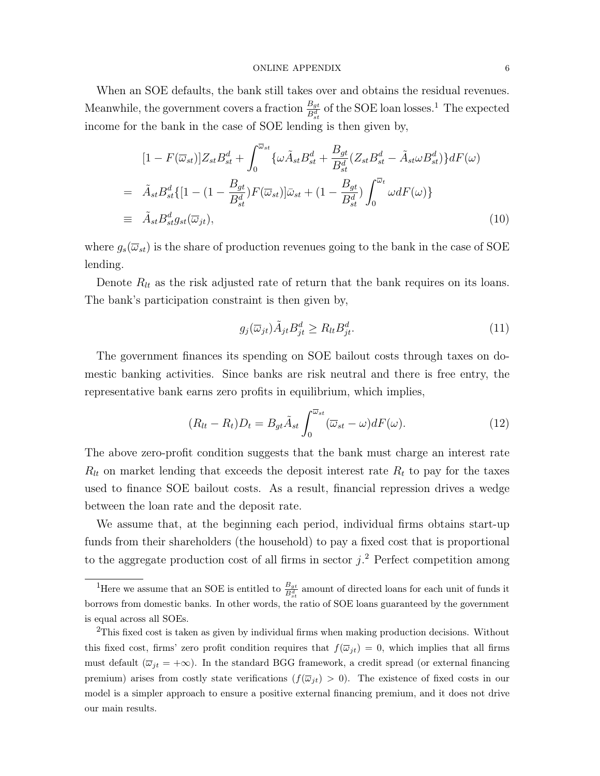When an SOE defaults, the bank still takes over and obtains the residual revenues. Meanwhile, the government covers a fraction  $\frac{B_{gt}}{B_{gt}^d}$  of the SOE loan losses.<sup>[1](#page-5-0)</sup> The expected income for the bank in the case of SOE lending is then given by,

$$
[1 - F(\overline{\omega}_{st})]Z_{st}B_{st}^d + \int_0^{\overline{\omega}_{st}} {\{\omega \tilde{A}_{st}B_{st}^d + \frac{B_{gt}}{B_{st}^d}(Z_{st}B_{st}^d - \tilde{A}_{st}\omega B_{st}^d)\}dF(\omega)}
$$
  
\n
$$
= \tilde{A}_{st}B_{st}^d \{[1 - (1 - \frac{B_{gt}}{B_{st}^d})F(\overline{\omega}_{st})]\overline{\omega}_{st} + (1 - \frac{B_{gt}}{B_{st}^d})\int_0^{\overline{\omega}_t} \omega dF(\omega)\}
$$
  
\n
$$
\equiv \tilde{A}_{st}B_{st}^d g_{st}(\overline{\omega}_{jt}), \qquad (10)
$$

where  $g_s(\overline{\omega}_{st})$  is the share of production revenues going to the bank in the case of SOE lending.

Denote  $R_{lt}$  as the risk adjusted rate of return that the bank requires on its loans. The bank's participation constraint is then given by,

$$
g_j(\overline{\omega}_{jt})\tilde{A}_{jt}B_{jt}^d \ge R_{lt}B_{jt}^d.
$$
\n
$$
(11)
$$

The government finances its spending on SOE bailout costs through taxes on domestic banking activities. Since banks are risk neutral and there is free entry, the representative bank earns zero profits in equilibrium, which implies,

$$
(R_{lt} - R_t)D_t = B_{gt}\tilde{A}_{st} \int_0^{\overline{\omega}_{st}} (\overline{\omega}_{st} - \omega) dF(\omega).
$$
 (12)

The above zero-profit condition suggests that the bank must charge an interest rate  $R_{lt}$  on market lending that exceeds the deposit interest rate  $R_t$  to pay for the taxes used to finance SOE bailout costs. As a result, financial repression drives a wedge between the loan rate and the deposit rate.

We assume that, at the beginning each period, individual firms obtains start-up funds from their shareholders (the household) to pay a fixed cost that is proportional to the aggregate production cost of all firms in sector  $j$ <sup>[2](#page-5-1)</sup> Perfect competition among

<span id="page-5-0"></span><sup>&</sup>lt;sup>1</sup>Here we assume that an SOE is entitled to  $\frac{B_{gt}}{B_{st}}$  amount of directed loans for each unit of funds it borrows from domestic banks. In other words, the ratio of SOE loans guaranteed by the government is equal across all SOEs.

<span id="page-5-1"></span><sup>&</sup>lt;sup>2</sup>This fixed cost is taken as given by individual firms when making production decisions. Without this fixed cost, firms' zero profit condition requires that  $f(\overline{\omega}_{it}) = 0$ , which implies that all firms must default  $(\overline{\omega}_{jt} = +\infty)$ . In the standard BGG framework, a credit spread (or external financing premium) arises from costly state verifications  $(f(\overline{\omega}_{it}) > 0)$ . The existence of fixed costs in our model is a simpler approach to ensure a positive external financing premium, and it does not drive our main results.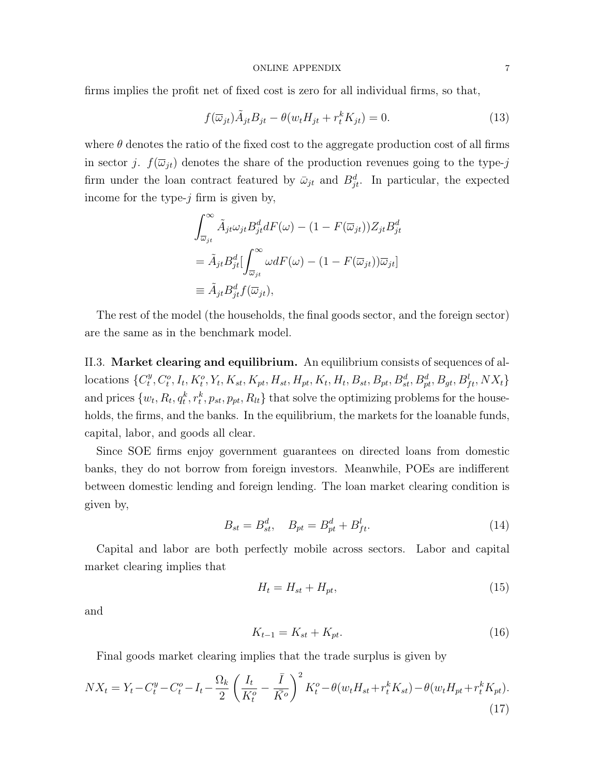firms implies the profit net of fixed cost is zero for all individual firms, so that,

$$
f(\overline{\omega}_{jt})\tilde{A}_{jt}B_{jt} - \theta(w_t H_{jt} + r_t^k K_{jt}) = 0.
$$
\n(13)

where  $\theta$  denotes the ratio of the fixed cost to the aggregate production cost of all firms in sector j.  $f(\overline{\omega}_{it})$  denotes the share of the production revenues going to the type-j firm under the loan contract featured by  $\bar{\omega}_{jt}$  and  $B_{jt}^d$ . In particular, the expected income for the type- $j$  firm is given by,

$$
\int_{\overline{\omega}_{jt}}^{\infty} \tilde{A}_{jt} \omega_{jt} B_{jt}^d dF(\omega) - (1 - F(\overline{\omega}_{jt})) Z_{jt} B_{jt}^d
$$

$$
= \tilde{A}_{jt} B_{jt}^d \left[ \int_{\overline{\omega}_{jt}}^{\infty} \omega dF(\omega) - (1 - F(\overline{\omega}_{jt})) \overline{\omega}_{jt} \right]
$$

$$
\equiv \tilde{A}_{jt} B_{jt}^d f(\overline{\omega}_{jt}),
$$

The rest of the model (the households, the final goods sector, and the foreign sector) are the same as in the benchmark model.

II.3. Market clearing and equilibrium. An equilibrium consists of sequences of allocations  $\{C_t^y\}$  $t^y, C^o_t, I_t, K^o_t, Y_t, K_{st}, K_{pt}, H_{st}, H_{pt}, K_t, H_t, B_{st}, B_{pt}, B^d_{st}, B^d_{pt}, B_{gt}, B^l_{ft}, N X_t\}$ and prices  $\{w_t, R_t, q_t^k, r_t^k, p_{st}, p_{pt}, R_{lt}\}\$  that solve the optimizing problems for the households, the firms, and the banks. In the equilibrium, the markets for the loanable funds, capital, labor, and goods all clear.

Since SOE firms enjoy government guarantees on directed loans from domestic banks, they do not borrow from foreign investors. Meanwhile, POEs are indifferent between domestic lending and foreign lending. The loan market clearing condition is given by,

$$
B_{st} = B_{st}^d, \quad B_{pt} = B_{pt}^d + B_{ft}^l.
$$
\n(14)

Capital and labor are both perfectly mobile across sectors. Labor and capital market clearing implies that

$$
H_t = H_{st} + H_{pt},\tag{15}
$$

and

$$
K_{t-1} = K_{st} + K_{pt}.\tag{16}
$$

Final goods market clearing implies that the trade surplus is given by

$$
NX_t = Y_t - C_t^y - C_t^o - I_t - \frac{\Omega_k}{2} \left(\frac{I_t}{K_t^o} - \frac{\bar{I}}{\bar{K}^o}\right)^2 K_t^o - \theta(w_t H_{st} + r_t^k K_{st}) - \theta(w_t H_{pt} + r_t^k K_{pt}).
$$
\n(17)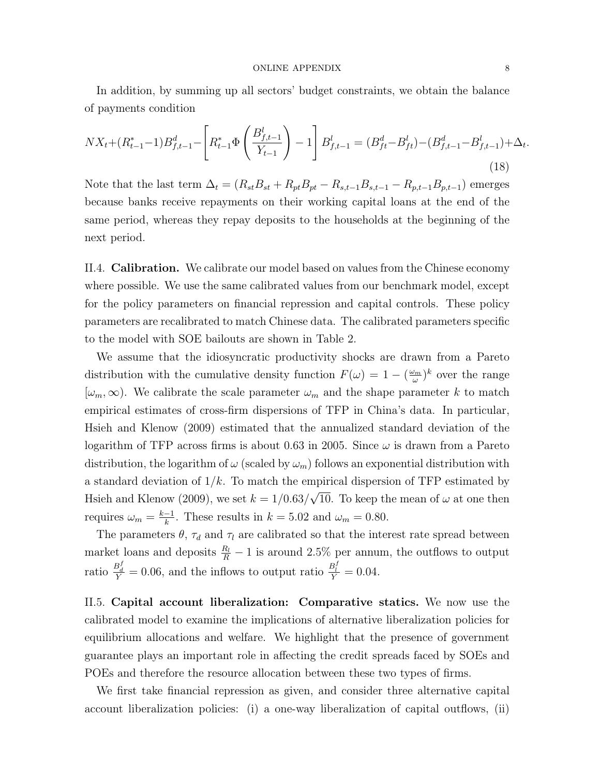In addition, by summing up all sectors' budget constraints, we obtain the balance of payments condition

$$
NX_t + (R_{t-1}^* - 1)B_{f,t-1}^d - \left[R_{t-1}^* \Phi\left(\frac{B_{f,t-1}^l}{Y_{t-1}}\right) - 1\right]B_{f,t-1}^l = (B_{ft}^d - B_{ft}^l) - (B_{f,t-1}^d - B_{f,t-1}^l) + \Delta_t.
$$
\n(18)

Note that the last term  $\Delta_t = (R_{st}B_{st} + R_{pt}B_{pt} - R_{s,t-1}B_{s,t-1} - R_{p,t-1}B_{p,t-1})$  emerges because banks receive repayments on their working capital loans at the end of the same period, whereas they repay deposits to the households at the beginning of the next period.

II.4. Calibration. We calibrate our model based on values from the Chinese economy where possible. We use the same calibrated values from our benchmark model, except for the policy parameters on financial repression and capital controls. These policy parameters are recalibrated to match Chinese data. The calibrated parameters specific to the model with SOE bailouts are shown in Table [2.](#page-8-0)

We assume that the idiosyncratic productivity shocks are drawn from a Pareto distribution with the cumulative density function  $F(\omega) = 1 - (\frac{\omega_m}{\omega})$  $(\frac{\nu_m}{\omega})^k$  over the range  $[\omega_m, \infty)$ . We calibrate the scale parameter  $\omega_m$  and the shape parameter k to match empirical estimates of cross-firm dispersions of TFP in China's data. In particular, [Hsieh and Klenow](#page-10-4) [\(2009\)](#page-10-4) estimated that the annualized standard deviation of the logarithm of TFP across firms is about 0.63 in 2005. Since  $\omega$  is drawn from a Pareto distribution, the logarithm of  $\omega$  (scaled by  $\omega_m$ ) follows an exponential distribution with a standard deviation of  $1/k$ . To match the empirical dispersion of TFP estimated by [Hsieh and Klenow](#page-10-4) [\(2009\)](#page-10-4), we set  $k = 1/0.63/$ ⊥<br>′ 10. To keep the mean of  $\omega$  at one then requires  $\omega_m = \frac{k-1}{k}$  $\frac{-1}{k}$ . These results in  $k = 5.02$  and  $\omega_m = 0.80$ .

The parameters  $\theta$ ,  $\tau_d$  and  $\tau_l$  are calibrated so that the interest rate spread between market loans and deposits  $\frac{R_l}{R} - 1$  is around 2.5% per annum, the outflows to output ratio  $\frac{B_d^f}{Y} = 0.06$ , and the inflows to output ratio  $\frac{B_l^f}{Y} = 0.04$ .

II.5. Capital account liberalization: Comparative statics. We now use the calibrated model to examine the implications of alternative liberalization policies for equilibrium allocations and welfare. We highlight that the presence of government guarantee plays an important role in affecting the credit spreads faced by SOEs and POEs and therefore the resource allocation between these two types of firms.

We first take financial repression as given, and consider three alternative capital account liberalization policies: (i) a one-way liberalization of capital outflows, (ii)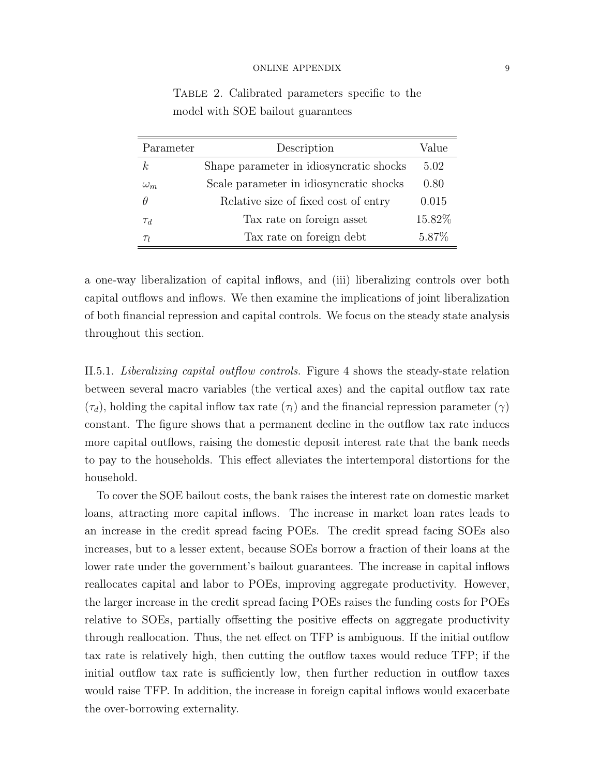| Parameter  | Description                             | Value  |
|------------|-----------------------------------------|--------|
| k,         | Shape parameter in idiosyncratic shocks | 5.02   |
| $\omega_m$ | Scale parameter in idiosyncratic shocks | 0.80   |
| θ          | Relative size of fixed cost of entry    | 0.015  |
| $\tau_d$   | Tax rate on foreign asset               | 15.82% |
| $\tau_l$   | Tax rate on foreign debt                | 5.87%  |

<span id="page-8-0"></span>Table 2. Calibrated parameters specific to the model with SOE bailout guarantees

a one-way liberalization of capital inflows, and (iii) liberalizing controls over both capital outflows and inflows. We then examine the implications of joint liberalization of both financial repression and capital controls. We focus on the steady state analysis throughout this section.

II.5.1. Liberalizing capital outflow controls. Figure [4](#page-14-0) shows the steady-state relation between several macro variables (the vertical axes) and the capital outflow tax rate  $(\tau_d)$ , holding the capital inflow tax rate  $(\tau_l)$  and the financial repression parameter  $(\gamma)$ constant. The figure shows that a permanent decline in the outflow tax rate induces more capital outflows, raising the domestic deposit interest rate that the bank needs to pay to the households. This effect alleviates the intertemporal distortions for the household.

To cover the SOE bailout costs, the bank raises the interest rate on domestic market loans, attracting more capital inflows. The increase in market loan rates leads to an increase in the credit spread facing POEs. The credit spread facing SOEs also increases, but to a lesser extent, because SOEs borrow a fraction of their loans at the lower rate under the government's bailout guarantees. The increase in capital inflows reallocates capital and labor to POEs, improving aggregate productivity. However, the larger increase in the credit spread facing POEs raises the funding costs for POEs relative to SOEs, partially offsetting the positive effects on aggregate productivity through reallocation. Thus, the net effect on TFP is ambiguous. If the initial outflow tax rate is relatively high, then cutting the outflow taxes would reduce TFP; if the initial outflow tax rate is sufficiently low, then further reduction in outflow taxes would raise TFP. In addition, the increase in foreign capital inflows would exacerbate the over-borrowing externality.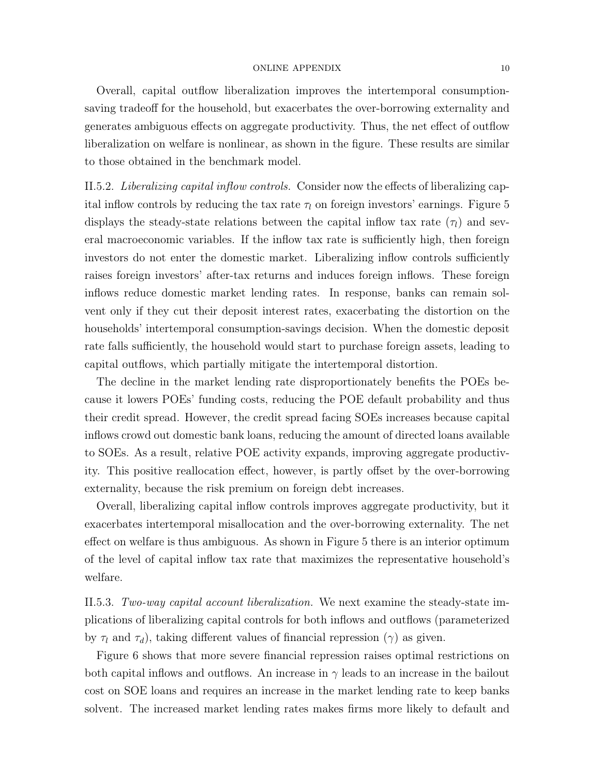Overall, capital outflow liberalization improves the intertemporal consumptionsaving tradeoff for the household, but exacerbates the over-borrowing externality and generates ambiguous effects on aggregate productivity. Thus, the net effect of outflow liberalization on welfare is nonlinear, as shown in the figure. These results are similar to those obtained in the benchmark model.

II.5.2. Liberalizing capital inflow controls. Consider now the effects of liberalizing capital inflow controls by reducing the tax rate  $\tau_l$  on foreign investors' earnings. Figure [5](#page-15-0) displays the steady-state relations between the capital inflow tax rate  $(\tau_l)$  and several macroeconomic variables. If the inflow tax rate is sufficiently high, then foreign investors do not enter the domestic market. Liberalizing inflow controls sufficiently raises foreign investors' after-tax returns and induces foreign inflows. These foreign inflows reduce domestic market lending rates. In response, banks can remain solvent only if they cut their deposit interest rates, exacerbating the distortion on the households' intertemporal consumption-savings decision. When the domestic deposit rate falls sufficiently, the household would start to purchase foreign assets, leading to capital outflows, which partially mitigate the intertemporal distortion.

The decline in the market lending rate disproportionately benefits the POEs because it lowers POEs' funding costs, reducing the POE default probability and thus their credit spread. However, the credit spread facing SOEs increases because capital inflows crowd out domestic bank loans, reducing the amount of directed loans available to SOEs. As a result, relative POE activity expands, improving aggregate productivity. This positive reallocation effect, however, is partly offset by the over-borrowing externality, because the risk premium on foreign debt increases.

Overall, liberalizing capital inflow controls improves aggregate productivity, but it exacerbates intertemporal misallocation and the over-borrowing externality. The net effect on welfare is thus ambiguous. As shown in Figure [5](#page-15-0) there is an interior optimum of the level of capital inflow tax rate that maximizes the representative household's welfare.

II.5.3. Two-way capital account liberalization. We next examine the steady-state implications of liberalizing capital controls for both inflows and outflows (parameterized by  $\tau_l$  and  $\tau_d$ ), taking different values of financial repression ( $\gamma$ ) as given.

Figure [6](#page-16-0) shows that more severe financial repression raises optimal restrictions on both capital inflows and outflows. An increase in  $\gamma$  leads to an increase in the bailout cost on SOE loans and requires an increase in the market lending rate to keep banks solvent. The increased market lending rates makes firms more likely to default and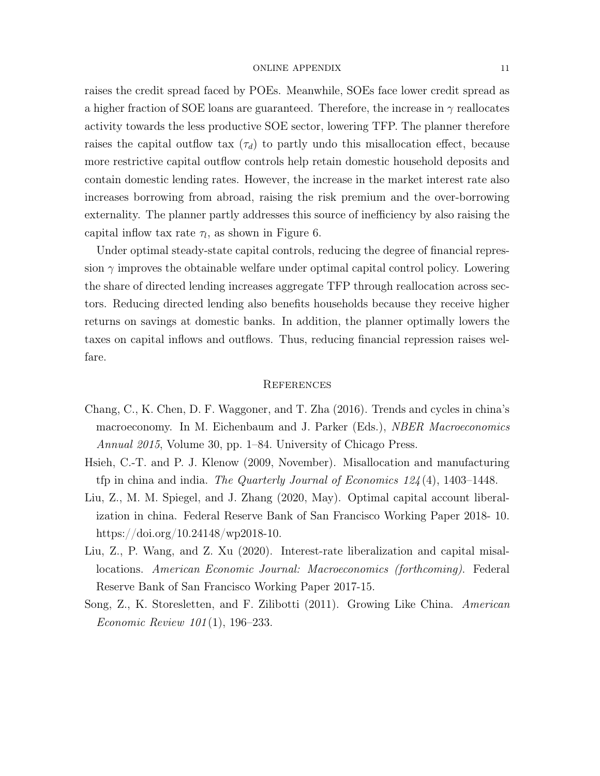raises the credit spread faced by POEs. Meanwhile, SOEs face lower credit spread as a higher fraction of SOE loans are guaranteed. Therefore, the increase in  $\gamma$  reallocates activity towards the less productive SOE sector, lowering TFP. The planner therefore raises the capital outflow tax  $(\tau_d)$  to partly undo this misallocation effect, because more restrictive capital outflow controls help retain domestic household deposits and contain domestic lending rates. However, the increase in the market interest rate also increases borrowing from abroad, raising the risk premium and the over-borrowing externality. The planner partly addresses this source of inefficiency by also raising the capital inflow tax rate  $\tau_l$ , as shown in Figure [6.](#page-16-0)

Under optimal steady-state capital controls, reducing the degree of financial repression  $\gamma$  improves the obtainable welfare under optimal capital control policy. Lowering the share of directed lending increases aggregate TFP through reallocation across sectors. Reducing directed lending also benefits households because they receive higher returns on savings at domestic banks. In addition, the planner optimally lowers the taxes on capital inflows and outflows. Thus, reducing financial repression raises welfare.

# **REFERENCES**

- <span id="page-10-1"></span>Chang, C., K. Chen, D. F. Waggoner, and T. Zha (2016). Trends and cycles in china's macroeconomy. In M. Eichenbaum and J. Parker (Eds.), *NBER Macroeconomics* Annual 2015, Volume 30, pp. 1–84. University of Chicago Press.
- <span id="page-10-4"></span>Hsieh, C.-T. and P. J. Klenow (2009, November). Misallocation and manufacturing tfp in china and india. The Quarterly Journal of Economics  $124(4)$ , 1403–1448.
- <span id="page-10-0"></span>Liu, Z., M. M. Spiegel, and J. Zhang (2020, May). Optimal capital account liberalization in china. Federal Reserve Bank of San Francisco Working Paper 2018- 10. https://doi.org/10.24148/wp2018-10.
- <span id="page-10-3"></span>Liu, Z., P. Wang, and Z. Xu (2020). Interest-rate liberalization and capital misallocations. American Economic Journal: Macroeconomics (forthcoming). Federal Reserve Bank of San Francisco Working Paper 2017-15.
- <span id="page-10-2"></span>Song, Z., K. Storesletten, and F. Zilibotti (2011). Growing Like China. American Economic Review 101 (1), 196–233.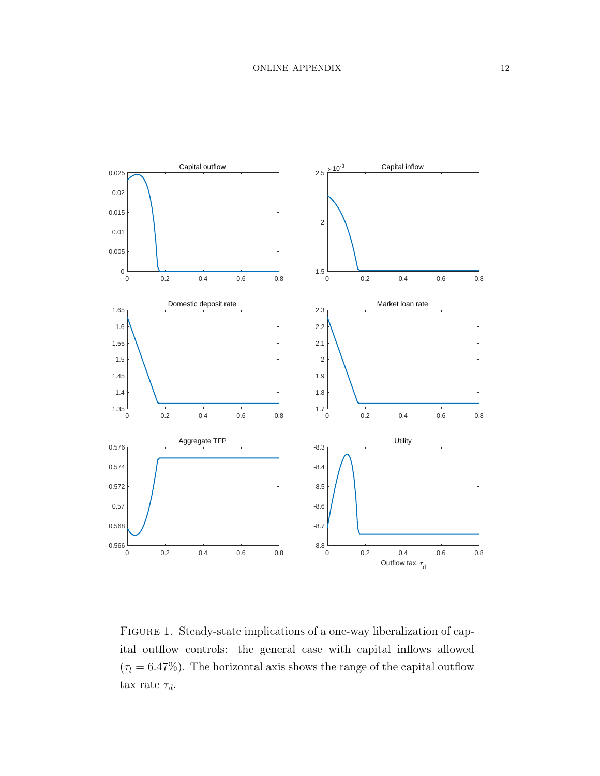

<span id="page-11-0"></span>FIGURE 1. Steady-state implications of a one-way liberalization of capital outflow controls: the general case with capital inflows allowed  $(\tau_l = 6.47\%)$ . The horizontal axis shows the range of the capital outflow tax rate  $\tau_d$ .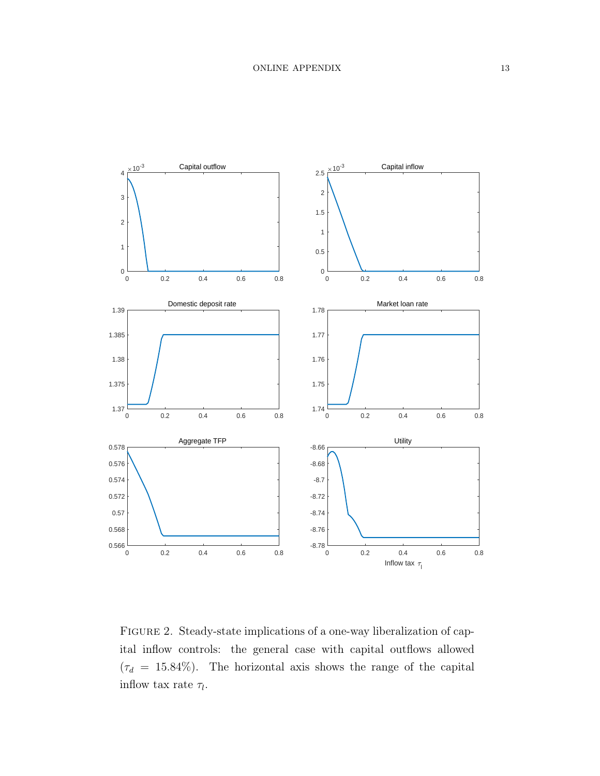

<span id="page-12-0"></span>Figure 2. Steady-state implications of a one-way liberalization of capital inflow controls: the general case with capital outflows allowed  $(\tau_d = 15.84\%)$ . The horizontal axis shows the range of the capital inflow tax rate  $\tau_l$ .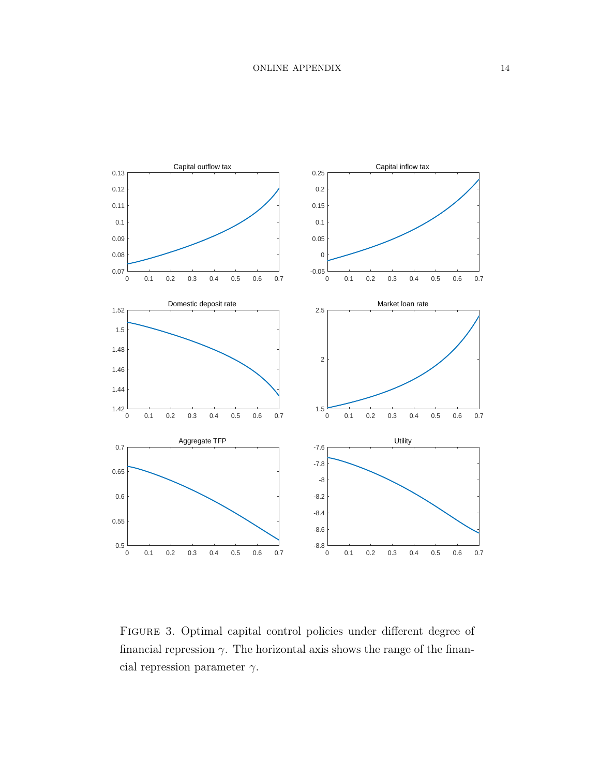

<span id="page-13-0"></span>Figure 3. Optimal capital control policies under different degree of financial repression  $\gamma$ . The horizontal axis shows the range of the financial repression parameter  $\gamma$ .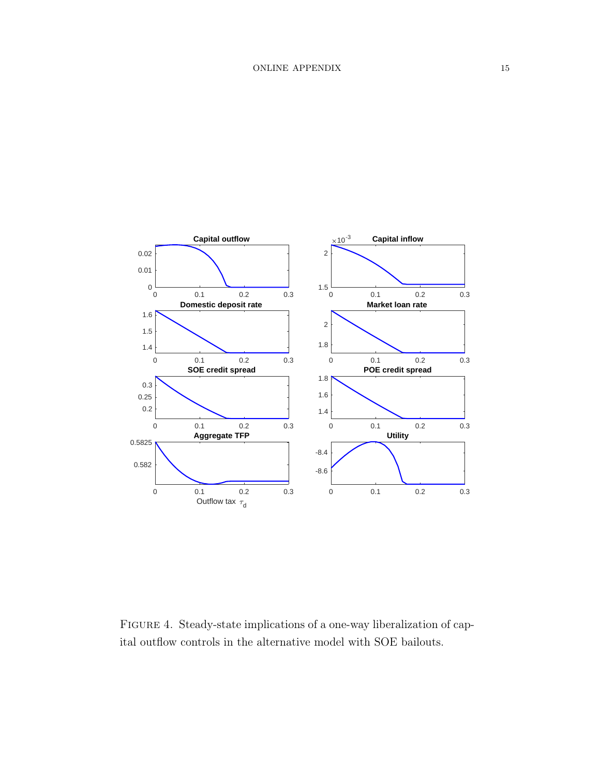

<span id="page-14-0"></span>Figure 4. Steady-state implications of a one-way liberalization of capital outflow controls in the alternative model with SOE bailouts.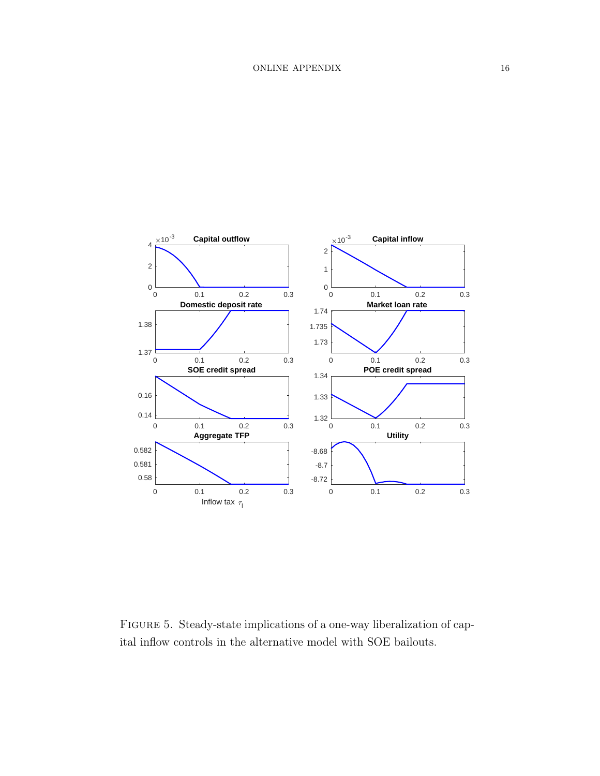

<span id="page-15-0"></span>Figure 5. Steady-state implications of a one-way liberalization of capital inflow controls in the alternative model with SOE bailouts.